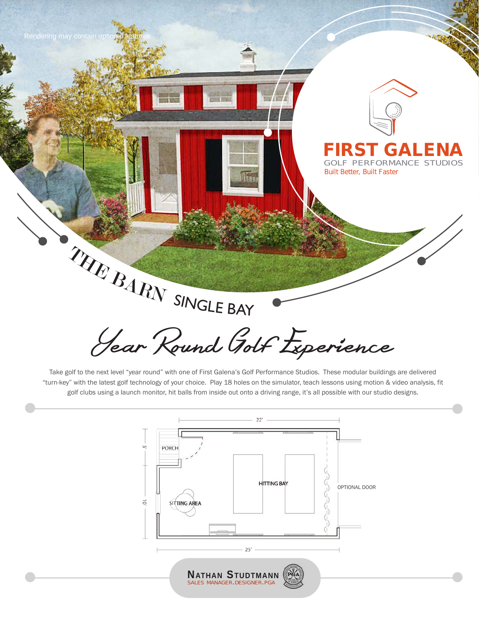

Take golf to the next level "year round" with one of First Galena's Golf Performance Studios. These modular buildings are delivered "turn-key" with the latest golf technology of your choice. Play 18 holes on the simulator, teach lessons using motion & video analysis, fit golf clubs using a launch monitor, hit balls from inside out onto a driving range, it's all possible with our studio designs.